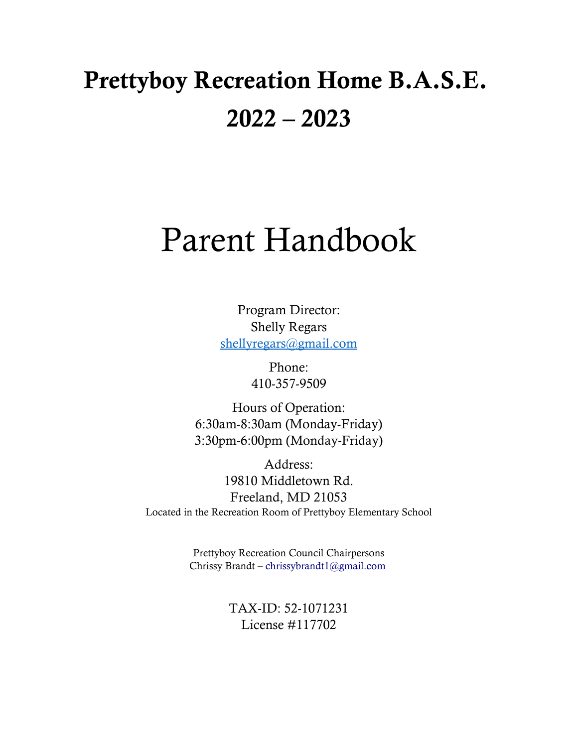## Prettyboy Recreation Home B.A.S.E. 2022 – 2023

# Parent Handbook

Program Director: Shelly Regars [shellyregars@gmail.com](mailto:shellyregars@gmail.com)

> Phone: 410-357-9509

Hours of Operation: 6:30am-8:30am (Monday-Friday) 3:30pm-6:00pm (Monday-Friday)

Address: 19810 Middletown Rd. Freeland, MD 21053 Located in the Recreation Room of Prettyboy Elementary School

> Prettyboy Recreation Council Chairpersons Chrissy Brandt – chrissybrandt1@gmail.com

> > TAX-ID: 52-1071231 License #117702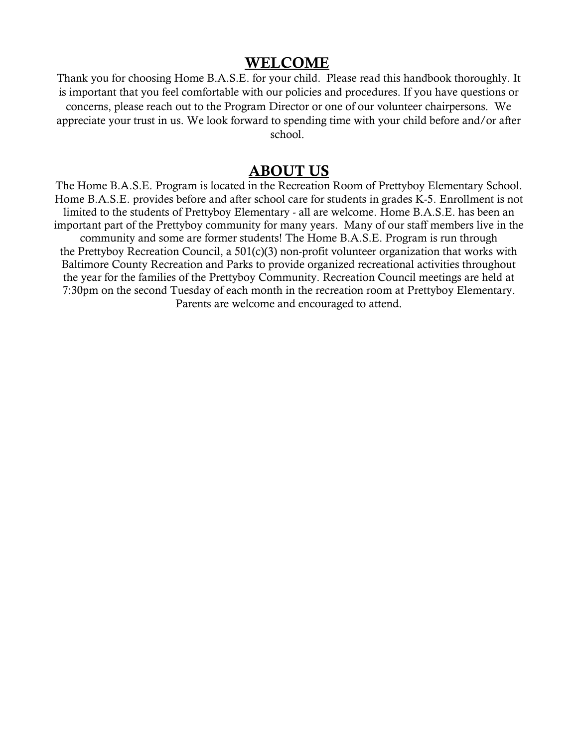#### WELCOME

Thank you for choosing Home B.A.S.E. for your child. Please read this handbook thoroughly. It is important that you feel comfortable with our policies and procedures. If you have questions or concerns, please reach out to the Program Director or one of our volunteer chairpersons. We appreciate your trust in us. We look forward to spending time with your child before and/or after school.

#### ABOUT US

The Home B.A.S.E. Program is located in the Recreation Room of Prettyboy Elementary School. Home B.A.S.E. provides before and after school care for students in grades K-5. Enrollment is not limited to the students of Prettyboy Elementary - all are welcome. Home B.A.S.E. has been an important part of the Prettyboy community for many years. Many of our staff members live in the community and some are former students! The Home B.A.S.E. Program is run through the Prettyboy Recreation Council, a 501(c)(3) non-profit volunteer organization that works with Baltimore County Recreation and Parks to provide organized recreational activities throughout the year for the families of the Prettyboy Community. Recreation Council meetings are held at 7:30pm on the second Tuesday of each month in the recreation room at Prettyboy Elementary. Parents are welcome and encouraged to attend.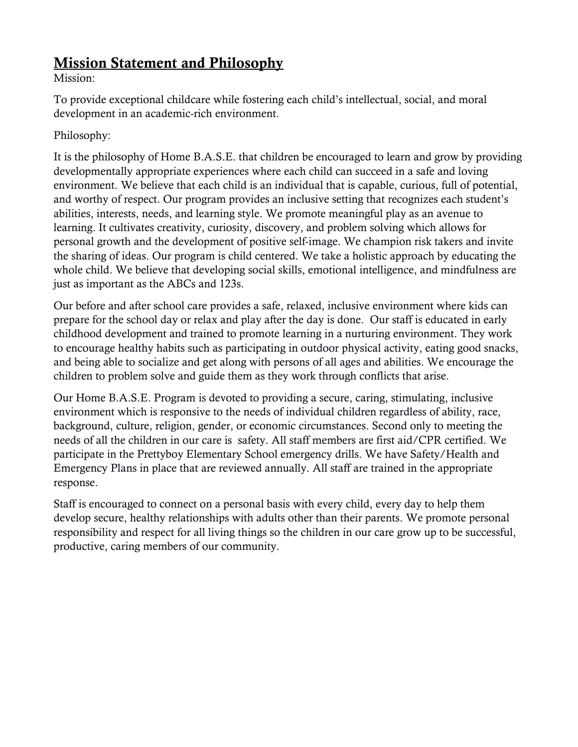#### Mission Statement and Philosophy

Mission:

To provide exceptional childcare while fostering each child's intellectual, social, and moral development in an academic-rich environment.

Philosophy:

It is the philosophy of Home B.A.S.E. that children be encouraged to learn and grow by providing developmentally appropriate experiences where each child can succeed in a safe and loving environment. We believe that each child is an individual that is capable, curious, full of potential, and worthy of respect. Our program provides an inclusive setting that recognizes each student's abilities, interests, needs, and learning style. We promote meaningful play as an avenue to learning. It cultivates creativity, curiosity, discovery, and problem solving which allows for personal growth and the development of positive self-image. We champion risk takers and invite the sharing of ideas. Our program is child centered. We take a holistic approach by educating the whole child. We believe that developing social skills, emotional intelligence, and mindfulness are just as important as the ABCs and 123s.

Our before and after school care provides a safe, relaxed, inclusive environment where kids can prepare for the school day or relax and play after the day is done. Our staff is educated in early childhood development and trained to promote learning in a nurturing environment. They work to encourage healthy habits such as participating in outdoor physical activity, eating good snacks, and being able to socialize and get along with persons of all ages and abilities. We encourage the children to problem solve and guide them as they work through conflicts that arise.

Our Home B.A.S.E. Program is devoted to providing a secure, caring, stimulating, inclusive environment which is responsive to the needs of individual children regardless of ability, race, background, culture, religion, gender, or economic circumstances. Second only to meeting the needs of all the children in our care is safety. All staff members are first aid/CPR certified. We participate in the Prettyboy Elementary School emergency drills. We have Safety/Health and Emergency Plans in place that are reviewed annually. All staff are trained in the appropriate response.

Staff is encouraged to connect on a personal basis with every child, every day to help them develop secure, healthy relationships with adults other than their parents. We promote personal responsibility and respect for all living things so the children in our care grow up to be successful, productive, caring members of our community.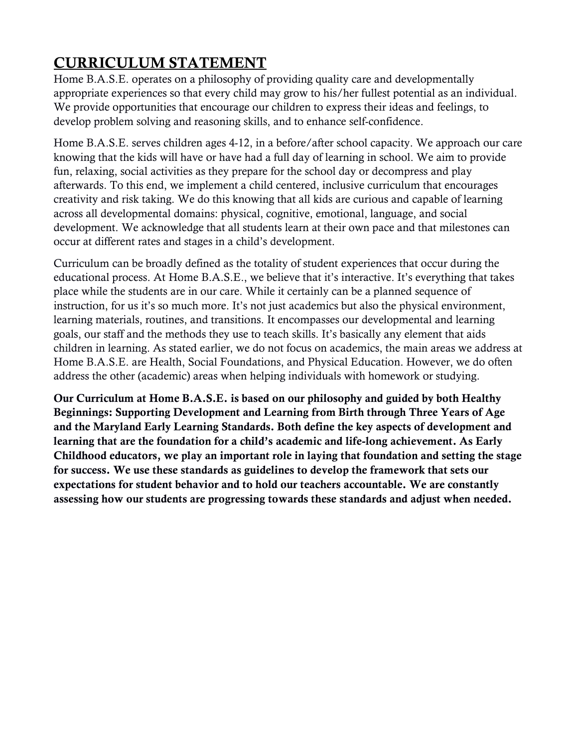## CURRICULUM STATEMENT

Home B.A.S.E. operates on a philosophy of providing quality care and developmentally appropriate experiences so that every child may grow to his/her fullest potential as an individual. We provide opportunities that encourage our children to express their ideas and feelings, to develop problem solving and reasoning skills, and to enhance self-confidence.

Home B.A.S.E. serves children ages 4-12, in a before/after school capacity. We approach our care knowing that the kids will have or have had a full day of learning in school. We aim to provide fun, relaxing, social activities as they prepare for the school day or decompress and play afterwards. To this end, we implement a child centered, inclusive curriculum that encourages creativity and risk taking. We do this knowing that all kids are curious and capable of learning across all developmental domains: physical, cognitive, emotional, language, and social development. We acknowledge that all students learn at their own pace and that milestones can occur at different rates and stages in a child's development.

Curriculum can be broadly defined as the totality of student experiences that occur during the educational process. At Home B.A.S.E., we believe that it's interactive. It's everything that takes place while the students are in our care. While it certainly can be a planned sequence of instruction, for us it's so much more. It's not just academics but also the physical environment, learning materials, routines, and transitions. It encompasses our developmental and learning goals, our staff and the methods they use to teach skills. It's basically any element that aids children in learning. As stated earlier, we do not focus on academics, the main areas we address at Home B.A.S.E. are Health, Social Foundations, and Physical Education. However, we do often address the other (academic) areas when helping individuals with homework or studying.

Our Curriculum at Home B.A.S.E. is based on our philosophy and guided by both Healthy Beginnings: Supporting Development and Learning from Birth through Three Years of Age and the Maryland Early Learning Standards. Both define the key aspects of development and learning that are the foundation for a child's academic and life-long achievement. As Early Childhood educators, we play an important role in laying that foundation and setting the stage for success. We use these standards as guidelines to develop the framework that sets our expectations for student behavior and to hold our teachers accountable. We are constantly assessing how our students are progressing towards these standards and adjust when needed.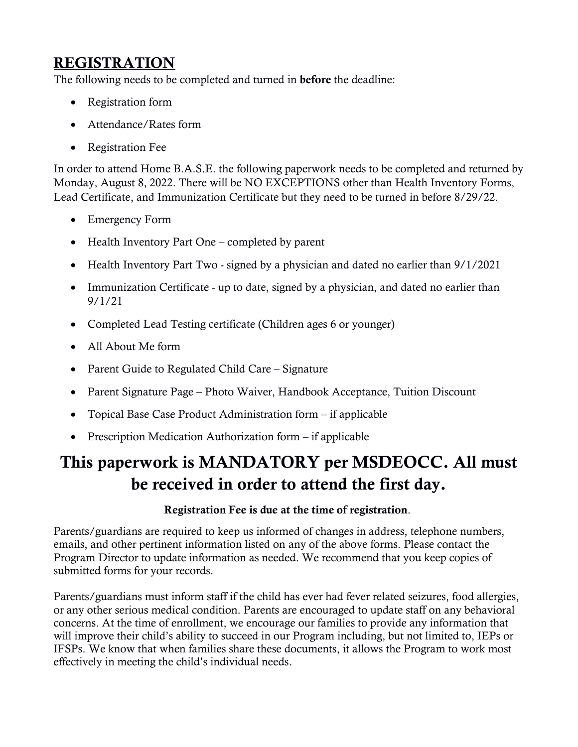#### REGISTRATION

The following needs to be completed and turned in **before** the deadline:

- Registration form
- Attendance/Rates form
- Registration Fee

In order to attend Home B.A.S.E. the following paperwork needs to be completed and returned by Monday, August 8, 2022. There will be NO EXCEPTIONS other than Health Inventory Forms, Lead Certificate, and Immunization Certificate but they need to be turned in before 8/29/22.

- Emergency Form
- Health Inventory Part One completed by parent
- Health Inventory Part Two signed by a physician and dated no earlier than  $9/1/2021$
- Immunization Certificate up to date, signed by a physician, and dated no earlier than 9/1/21
- Completed Lead Testing certificate (Children ages 6 or younger)
- All About Me form
- Parent Guide to Regulated Child Care Signature
- Parent Signature Page Photo Waiver, Handbook Acceptance, Tuition Discount
- Topical Base Case Product Administration form if applicable
- Prescription Medication Authorization form if applicable

## This paperwork is MANDATORY per MSDEOCC. All must be received in order to attend the first day.

#### Registration Fee is due at the time of registration.

Parents/guardians are required to keep us informed of changes in address, telephone numbers, emails, and other pertinent information listed on any of the above forms. Please contact the Program Director to update information as needed. We recommend that you keep copies of submitted forms for your records.

Parents/guardians must inform staff if the child has ever had fever related seizures, food allergies, or any other serious medical condition. Parents are encouraged to update staff on any behavioral concerns. At the time of enrollment, we encourage our families to provide any information that will improve their child's ability to succeed in our Program including, but not limited to, IEPs or IFSPs. We know that when families share these documents, it allows the Program to work most effectively in meeting the child's individual needs.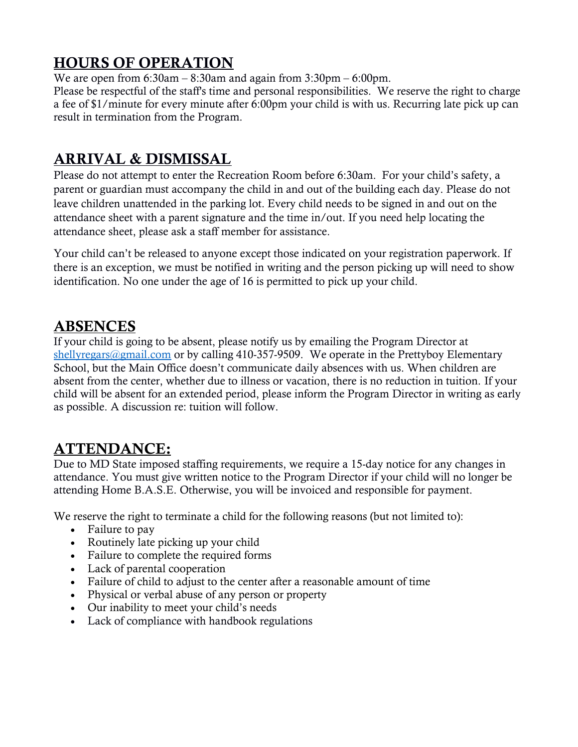#### HOURS OF OPERATION

We are open from  $6:30$ am –  $8:30$ am and again from  $3:30$ pm –  $6:00$ pm.

Please be respectful of the staff's time and personal responsibilities. We reserve the right to charge a fee of \$1/minute for every minute after 6:00pm your child is with us. Recurring late pick up can result in termination from the Program.

#### ARRIVAL & DISMISSAL

Please do not attempt to enter the Recreation Room before 6:30am. For your child's safety, a parent or guardian must accompany the child in and out of the building each day. Please do not leave children unattended in the parking lot. Every child needs to be signed in and out on the attendance sheet with a parent signature and the time in/out. If you need help locating the attendance sheet, please ask a staff member for assistance.

Your child can't be released to anyone except those indicated on your registration paperwork. If there is an exception, we must be notified in writing and the person picking up will need to show identification. No one under the age of 16 is permitted to pick up your child.

#### ABSENCES

If your child is going to be absent, please notify us by emailing the Program Director at [shellyregars@gmail.com](mailto:shellyreagrs@gmail.com) or by calling 410-357-9509. We operate in the Prettyboy Elementary School, but the Main Office doesn't communicate daily absences with us. When children are absent from the center, whether due to illness or vacation, there is no reduction in tuition. If your child will be absent for an extended period, please inform the Program Director in writing as early as possible. A discussion re: tuition will follow.

#### ATTENDANCE:

Due to MD State imposed staffing requirements, we require a 15-day notice for any changes in attendance. You must give written notice to the Program Director if your child will no longer be attending Home B.A.S.E. Otherwise, you will be invoiced and responsible for payment.

We reserve the right to terminate a child for the following reasons (but not limited to):

- Failure to pay
- Routinely late picking up your child
- Failure to complete the required forms
- Lack of parental cooperation
- Failure of child to adjust to the center after a reasonable amount of time
- Physical or verbal abuse of any person or property
- Our inability to meet your child's needs
- Lack of compliance with handbook regulations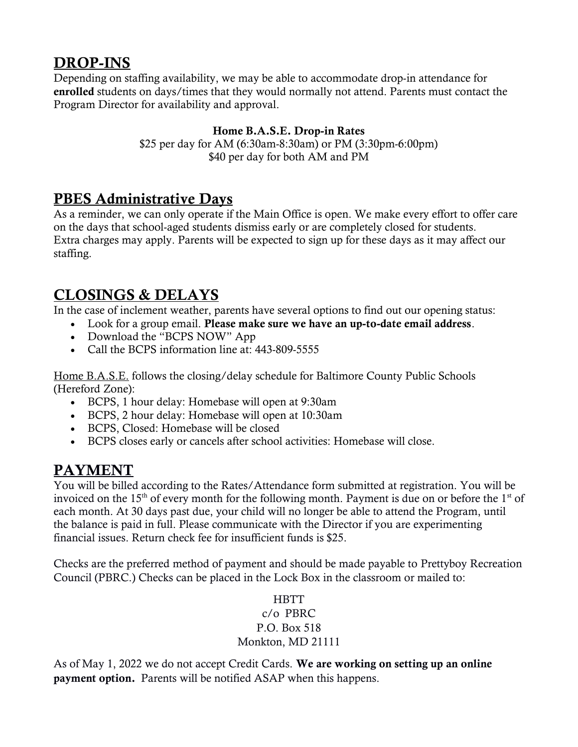#### DROP-INS

Depending on staffing availability, we may be able to accommodate drop-in attendance for enrolled students on days/times that they would normally not attend. Parents must contact the Program Director for availability and approval.

#### Home B.A.S.E. Drop-in Rates

\$25 per day for AM (6:30am-8:30am) or PM (3:30pm-6:00pm) \$40 per day for both AM and PM

#### PBES Administrative Days

As a reminder, we can only operate if the Main Office is open. We make every effort to offer care on the days that school-aged students dismiss early or are completely closed for students. Extra charges may apply. Parents will be expected to sign up for these days as it may affect our staffing.

#### CLOSINGS & DELAYS

In the case of inclement weather, parents have several options to find out our opening status:

- Look for a group email. Please make sure we have an up-to-date email address.
- Download the "BCPS NOW" App
- Call the BCPS information line at: 443-809-5555

Home B.A.S.E. follows the closing/delay schedule for Baltimore County Public Schools (Hereford Zone):

- BCPS, 1 hour delay: Homebase will open at 9:30am
- BCPS, 2 hour delay: Homebase will open at 10:30am
- BCPS, Closed: Homebase will be closed
- BCPS closes early or cancels after school activities: Homebase will close.

#### PAYMENT

You will be billed according to the Rates/Attendance form submitted at registration. You will be invoiced on the 15<sup>th</sup> of every month for the following month. Payment is due on or before the  $1<sup>st</sup>$  of each month. At 30 days past due, your child will no longer be able to attend the Program, until the balance is paid in full. Please communicate with the Director if you are experimenting financial issues. Return check fee for insufficient funds is \$25.

Checks are the preferred method of payment and should be made payable to Prettyboy Recreation Council (PBRC.) Checks can be placed in the Lock Box in the classroom or mailed to:

#### **HBTT** c/o PBRC P.O. Box 518 Monkton, MD 21111

As of May 1, 2022 we do not accept Credit Cards. We are working on setting up an online payment option. Parents will be notified ASAP when this happens.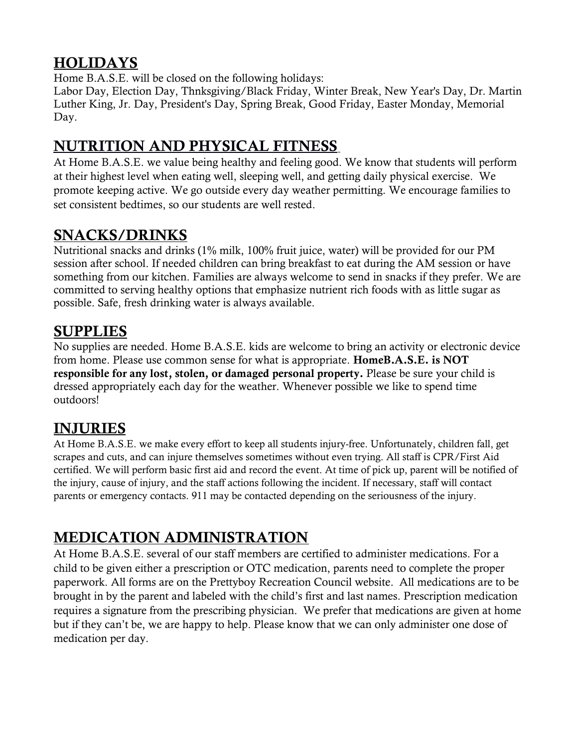#### HOLIDAYS

Home B.A.S.E. will be closed on the following holidays:

Labor Day, Election Day, Thnksgiving/Black Friday, Winter Break, New Year's Day, Dr. Martin Luther King, Jr. Day, President's Day, Spring Break, Good Friday, Easter Monday, Memorial Day.

#### NUTRITION AND PHYSICAL FITNESS

At Home B.A.S.E. we value being healthy and feeling good. We know that students will perform at their highest level when eating well, sleeping well, and getting daily physical exercise. We promote keeping active. We go outside every day weather permitting. We encourage families to set consistent bedtimes, so our students are well rested.

#### SNACKS/DRINKS

Nutritional snacks and drinks (1% milk, 100% fruit juice, water) will be provided for our PM session after school. If needed children can bring breakfast to eat during the AM session or have something from our kitchen. Families are always welcome to send in snacks if they prefer. We are committed to serving healthy options that emphasize nutrient rich foods with as little sugar as possible. Safe, fresh drinking water is always available.

#### SUPPLIES

No supplies are needed. Home B.A.S.E. kids are welcome to bring an activity or electronic device from home. Please use common sense for what is appropriate. **HomeB.A.S.E.** is NOT responsible for any lost, stolen, or damaged personal property. Please be sure your child is dressed appropriately each day for the weather. Whenever possible we like to spend time outdoors!

### INJURIES

At Home B.A.S.E. we make every effort to keep all students injury-free. Unfortunately, children fall, get scrapes and cuts, and can injure themselves sometimes without even trying. All staff is CPR/First Aid certified. We will perform basic first aid and record the event. At time of pick up, parent will be notified of the injury, cause of injury, and the staff actions following the incident. If necessary, staff will contact parents or emergency contacts. 911 may be contacted depending on the seriousness of the injury.

### MEDICATION ADMINISTRATION

At Home B.A.S.E. several of our staff members are certified to administer medications. For a child to be given either a prescription or OTC medication, parents need to complete the proper paperwork. All forms are on the Prettyboy Recreation Council website. All medications are to be brought in by the parent and labeled with the child's first and last names. Prescription medication requires a signature from the prescribing physician. We prefer that medications are given at home but if they can't be, we are happy to help. Please know that we can only administer one dose of medication per day.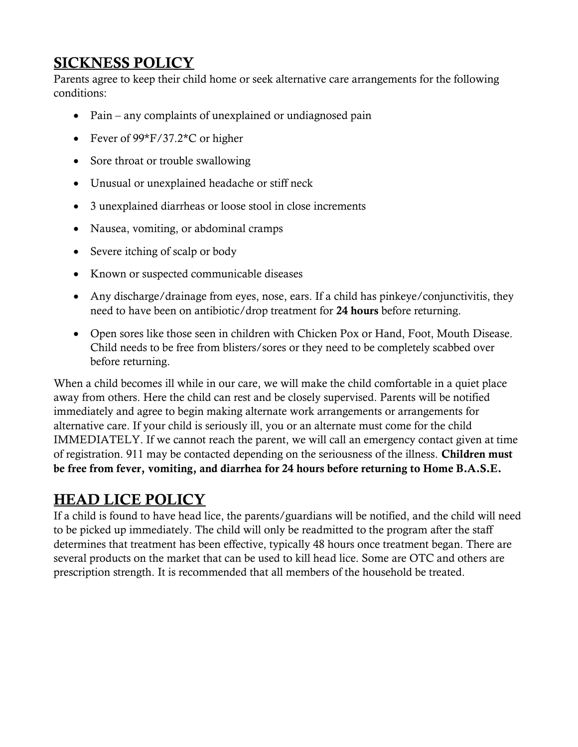#### SICKNESS POLICY

Parents agree to keep their child home or seek alternative care arrangements for the following conditions:

- Pain any complaints of unexplained or undiagnosed pain
- Fever of 99\*F/37.2\*C or higher
- Sore throat or trouble swallowing
- Unusual or unexplained headache or stiff neck
- 3 unexplained diarrheas or loose stool in close increments
- Nausea, vomiting, or abdominal cramps
- Severe itching of scalp or body
- Known or suspected communicable diseases
- Any discharge/drainage from eyes, nose, ears. If a child has pinkeye/conjunctivitis, they need to have been on antibiotic/drop treatment for 24 hours before returning.
- Open sores like those seen in children with Chicken Pox or Hand, Foot, Mouth Disease. Child needs to be free from blisters/sores or they need to be completely scabbed over before returning.

When a child becomes ill while in our care, we will make the child comfortable in a quiet place away from others. Here the child can rest and be closely supervised. Parents will be notified immediately and agree to begin making alternate work arrangements or arrangements for alternative care. If your child is seriously ill, you or an alternate must come for the child IMMEDIATELY. If we cannot reach the parent, we will call an emergency contact given at time of registration. 911 may be contacted depending on the seriousness of the illness. Children must be free from fever, vomiting, and diarrhea for 24 hours before returning to Home B.A.S.E.

## HEAD LICE POLICY

If a child is found to have head lice, the parents/guardians will be notified, and the child will need to be picked up immediately. The child will only be readmitted to the program after the staff determines that treatment has been effective, typically 48 hours once treatment began. There are several products on the market that can be used to kill head lice. Some are OTC and others are prescription strength. It is recommended that all members of the household be treated.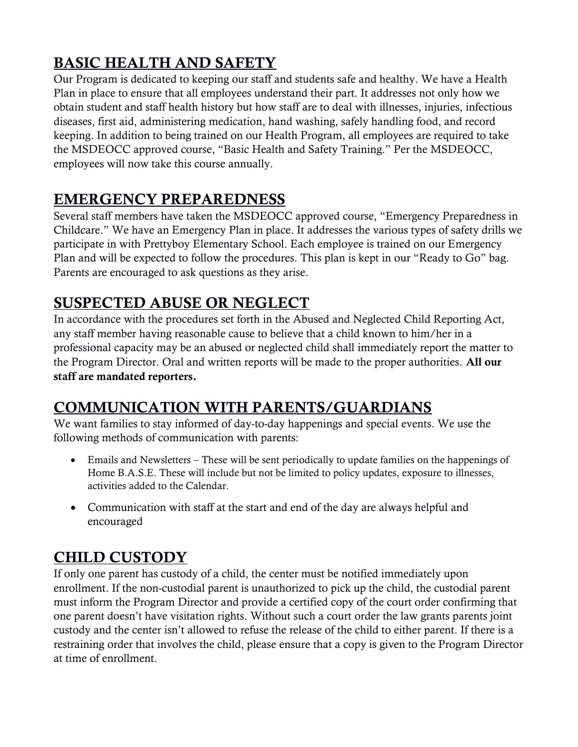## BASIC HEALTH AND SAFETY

Our Program is dedicated to keeping our staff and students safe and healthy. We have a Health Plan in place to ensure that all employees understand their part. It addresses not only how we obtain student and staff health history but how staff are to deal with illnesses, injuries, infectious diseases, first aid, administering medication, hand washing, safely handling food, and record keeping. In addition to being trained on our Health Program, all employees are required to take the MSDEOCC approved course, "Basic Health and Safety Training." Per the MSDEOCC, employees will now take this course annually.

#### EMERGENCY PREPAREDNESS

Several staff members have taken the MSDEOCC approved course, "Emergency Preparedness in Childcare." We have an Emergency Plan in place. It addresses the various types of safety drills we participate in with Prettyboy Elementary School. Each employee is trained on our Emergency Plan and will be expected to follow the procedures. This plan is kept in our "Ready to Go" bag. Parents are encouraged to ask questions as they arise.

#### SUSPECTED ABUSE OR NEGLECT

In accordance with the procedures set forth in the Abused and Neglected Child Reporting Act, any staff member having reasonable cause to believe that a child known to him/her in a professional capacity may be an abused or neglected child shall immediately report the matter to the Program Director. Oral and written reports will be made to the proper authorities. All our staff are mandated reporters.

### COMMUNICATION WITH PARENTS/GUARDIANS

We want families to stay informed of day-to-day happenings and special events. We use the following methods of communication with parents:

- Emails and Newsletters These will be sent periodically to update families on the happenings of Home B.A.S.E. These will include but not be limited to policy updates, exposure to illnesses, activities added to the Calendar.
- Communication with staff at the start and end of the day are always helpful and encouraged

### CHILD CUSTODY

If only one parent has custody of a child, the center must be notified immediately upon enrollment. If the non-custodial parent is unauthorized to pick up the child, the custodial parent must inform the Program Director and provide a certified copy of the court order confirming that one parent doesn't have visitation rights. Without such a court order the law grants parents joint custody and the center isn't allowed to refuse the release of the child to either parent. If there is a restraining order that involves the child, please ensure that a copy is given to the Program Director at time of enrollment.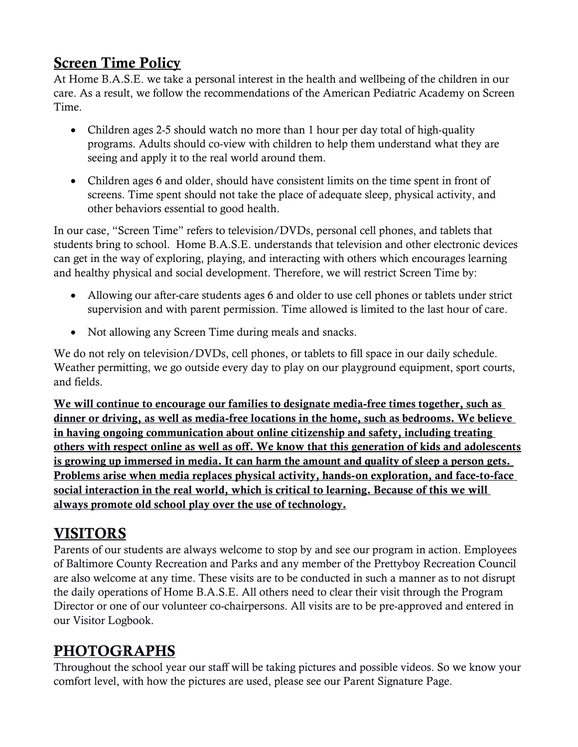#### **Screen Time Policy**

At Home B.A.S.E. we take a personal interest in the health and wellbeing of the children in our care. As a result, we follow the recommendations of the American Pediatric Academy on Screen Time.

- Children ages 2-5 should watch no more than 1 hour per day total of high-quality programs. Adults should co-view with children to help them understand what they are seeing and apply it to the real world around them.
- Children ages 6 and older, should have consistent limits on the time spent in front of screens. Time spent should not take the place of adequate sleep, physical activity, and other behaviors essential to good health.

In our case, "Screen Time" refers to television/DVDs, personal cell phones, and tablets that students bring to school. Home B.A.S.E. understands that television and other electronic devices can get in the way of exploring, playing, and interacting with others which encourages learning and healthy physical and social development. Therefore, we will restrict Screen Time by:

- Allowing our after-care students ages 6 and older to use cell phones or tablets under strict supervision and with parent permission. Time allowed is limited to the last hour of care.
- Not allowing any Screen Time during meals and snacks.

We do not rely on television/DVDs, cell phones, or tablets to fill space in our daily schedule. Weather permitting, we go outside every day to play on our playground equipment, sport courts, and fields.

We will continue to encourage our families to designate media-free times together, such as dinner or driving, as well as media-free locations in the home, such as bedrooms. We believe in having ongoing communication about online citizenship and safety, including treating others with respect online as well as off. We know that this generation of kids and adolescents is growing up immersed in media. It can harm the amount and quality of sleep a person gets. Problems arise when media replaces physical activity, hands-on exploration, and face-to-face social interaction in the real world, which is critical to learning. Because of this we will always promote old school play over the use of technology.

## VISITORS

Parents of our students are always welcome to stop by and see our program in action. Employees of Baltimore County Recreation and Parks and any member of the Prettyboy Recreation Council are also welcome at any time. These visits are to be conducted in such a manner as to not disrupt the daily operations of Home B.A.S.E. All others need to clear their visit through the Program Director or one of our volunteer co-chairpersons. All visits are to be pre-approved and entered in our Visitor Logbook.

#### PHOTOGRAPHS

Throughout the school year our staff will be taking pictures and possible videos. So we know your comfort level, with how the pictures are used, please see our Parent Signature Page.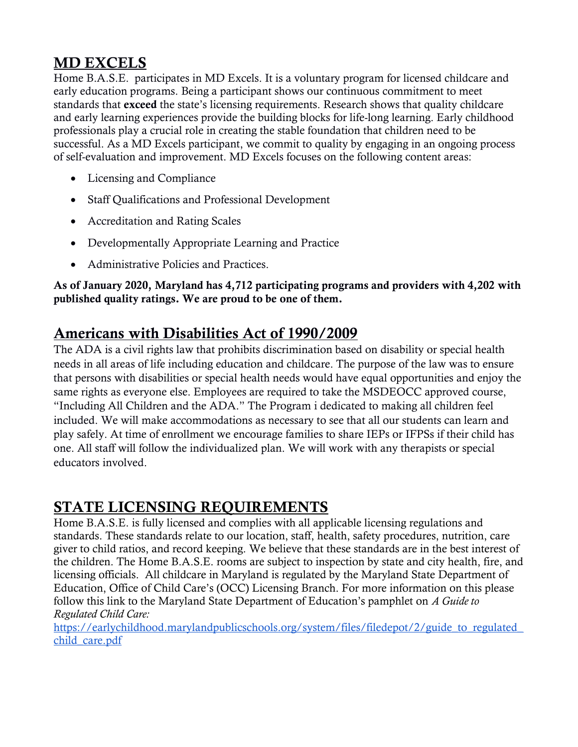### MD EXCELS

Home B.A.S.E. participates in MD Excels. It is a voluntary program for licensed childcare and early education programs. Being a participant shows our continuous commitment to meet standards that **exceed** the state's licensing requirements. Research shows that quality childcare and early learning experiences provide the building blocks for life-long learning. Early childhood professionals play a crucial role in creating the stable foundation that children need to be successful. As a MD Excels participant, we commit to quality by engaging in an ongoing process of self-evaluation and improvement. MD Excels focuses on the following content areas:

- Licensing and Compliance
- Staff Qualifications and Professional Development
- Accreditation and Rating Scales
- Developmentally Appropriate Learning and Practice
- Administrative Policies and Practices.

#### As of January 2020, Maryland has 4,712 participating programs and providers with 4,202 with published quality ratings. We are proud to be one of them.

#### Americans with Disabilities Act of 1990/2009

The ADA is a civil rights law that prohibits discrimination based on disability or special health needs in all areas of life including education and childcare. The purpose of the law was to ensure that persons with disabilities or special health needs would have equal opportunities and enjoy the same rights as everyone else. Employees are required to take the MSDEOCC approved course, "Including All Children and the ADA." The Program i dedicated to making all children feel included. We will make accommodations as necessary to see that all our students can learn and play safely. At time of enrollment we encourage families to share IEPs or IFPSs if their child has one. All staff will follow the individualized plan. We will work with any therapists or special educators involved.

#### STATE LICENSING REQUIREMENTS

Home B.A.S.E. is fully licensed and complies with all applicable licensing regulations and standards. These standards relate to our location, staff, health, safety procedures, nutrition, care giver to child ratios, and record keeping. We believe that these standards are in the best interest of the children. The Home B.A.S.E. rooms are subject to inspection by state and city health, fire, and licensing officials. All childcare in Maryland is regulated by the Maryland State Department of Education, Office of Child Care's (OCC) Licensing Branch. For more information on this please follow this link to the Maryland State Department of Education's pamphlet on *A Guide to Regulated Child Care:*

https://earlychildhood.marylandpublicschools.org/system/files/filedepot/2/guide\_to\_regulated [child\\_care.pdf](https://earlychildhood.marylandpublicschools.org/system/files/filedepot/2/guide_to_regulated_child_care.pdf)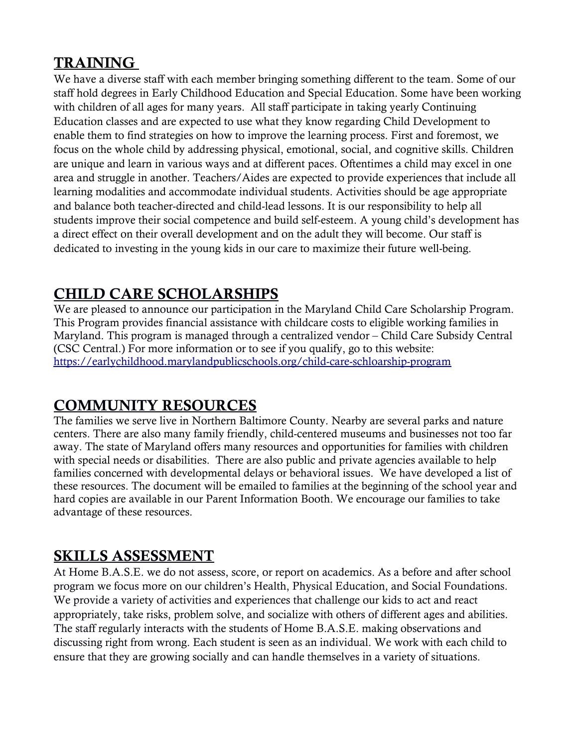#### TRAINING

We have a diverse staff with each member bringing something different to the team. Some of our staff hold degrees in Early Childhood Education and Special Education. Some have been working with children of all ages for many years. All staff participate in taking yearly Continuing Education classes and are expected to use what they know regarding Child Development to enable them to find strategies on how to improve the learning process. First and foremost, we focus on the whole child by addressing physical, emotional, social, and cognitive skills. Children are unique and learn in various ways and at different paces. Oftentimes a child may excel in one area and struggle in another. Teachers/Aides are expected to provide experiences that include all learning modalities and accommodate individual students. Activities should be age appropriate and balance both teacher-directed and child-lead lessons. It is our responsibility to help all students improve their social competence and build self-esteem. A young child's development has a direct effect on their overall development and on the adult they will become. Our staff is dedicated to investing in the young kids in our care to maximize their future well-being.

#### CHILD CARE SCHOLARSHIPS

We are pleased to announce our participation in the Maryland Child Care Scholarship Program. This Program provides financial assistance with childcare costs to eligible working families in Maryland. This program is managed through a centralized vendor – Child Care Subsidy Central (CSC Central.) For more information or to see if you qualify, go to this website: https://earlychildhood.marylandpublicschools.org/child-care-schloarship-program

#### COMMUNITY RESOURCES

The families we serve live in Northern Baltimore County. Nearby are several parks and nature centers. There are also many family friendly, child-centered museums and businesses not too far away. The state of Maryland offers many resources and opportunities for families with children with special needs or disabilities. There are also public and private agencies available to help families concerned with developmental delays or behavioral issues. We have developed a list of these resources. The document will be emailed to families at the beginning of the school year and hard copies are available in our Parent Information Booth. We encourage our families to take advantage of these resources.

#### SKILLS ASSESSMENT

At Home B.A.S.E. we do not assess, score, or report on academics. As a before and after school program we focus more on our children's Health, Physical Education, and Social Foundations. We provide a variety of activities and experiences that challenge our kids to act and react appropriately, take risks, problem solve, and socialize with others of different ages and abilities. The staff regularly interacts with the students of Home B.A.S.E. making observations and discussing right from wrong. Each student is seen as an individual. We work with each child to ensure that they are growing socially and can handle themselves in a variety of situations.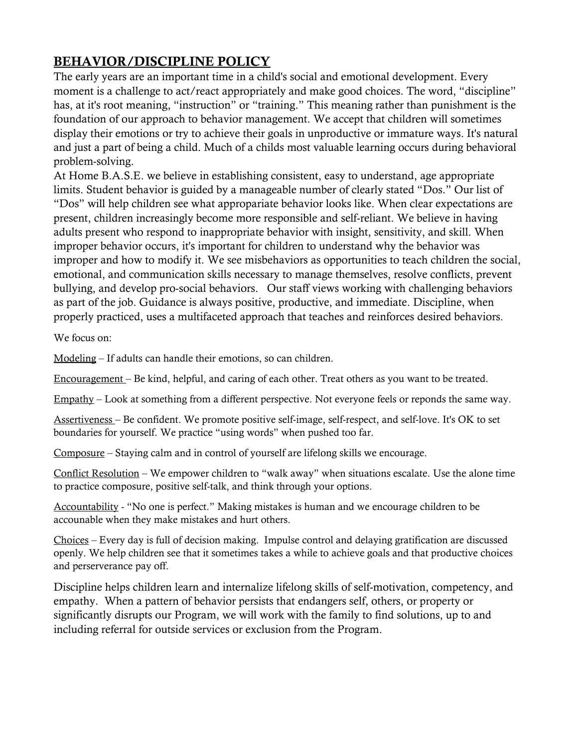#### BEHAVIOR/DISCIPLINE POLICY

The early years are an important time in a child's social and emotional development. Every moment is a challenge to act/react appropriately and make good choices. The word, "discipline" has, at it's root meaning, "instruction" or "training." This meaning rather than punishment is the foundation of our approach to behavior management. We accept that children will sometimes display their emotions or try to achieve their goals in unproductive or immature ways. It's natural and just a part of being a child. Much of a childs most valuable learning occurs during behavioral problem-solving.

At Home B.A.S.E. we believe in establishing consistent, easy to understand, age appropriate limits. Student behavior is guided by a manageable number of clearly stated "Dos." Our list of

"Dos" will help children see what appropariate behavior looks like. When clear expectations are present, children increasingly become more responsible and self-reliant. We believe in having adults present who respond to inappropriate behavior with insight, sensitivity, and skill. When improper behavior occurs, it's important for children to understand why the behavior was improper and how to modify it. We see misbehaviors as opportunities to teach children the social, emotional, and communication skills necessary to manage themselves, resolve conflicts, prevent bullying, and develop pro-social behaviors. Our staff views working with challenging behaviors as part of the job. Guidance is always positive, productive, and immediate. Discipline, when properly practiced, uses a multifaceted approach that teaches and reinforces desired behaviors.

We focus on:

Modeling – If adults can handle their emotions, so can children.

Encouragement – Be kind, helpful, and caring of each other. Treat others as you want to be treated.

Empathy – Look at something from a different perspective. Not everyone feels or reponds the same way.

Assertiveness – Be confident. We promote positive self-image, self-respect, and self-love. It's OK to set boundaries for yourself. We practice "using words" when pushed too far.

Composure – Staying calm and in control of yourself are lifelong skills we encourage.

Conflict Resolution – We empower children to "walk away" when situations escalate. Use the alone time to practice composure, positive self-talk, and think through your options.

Accountability - "No one is perfect." Making mistakes is human and we encourage children to be accounable when they make mistakes and hurt others.

Choices – Every day is full of decision making. Impulse control and delaying gratification are discussed openly. We help children see that it sometimes takes a while to achieve goals and that productive choices and perserverance pay off.

Discipline helps children learn and internalize lifelong skills of self-motivation, competency, and empathy. When a pattern of behavior persists that endangers self, others, or property or significantly disrupts our Program, we will work with the family to find solutions, up to and including referral for outside services or exclusion from the Program.